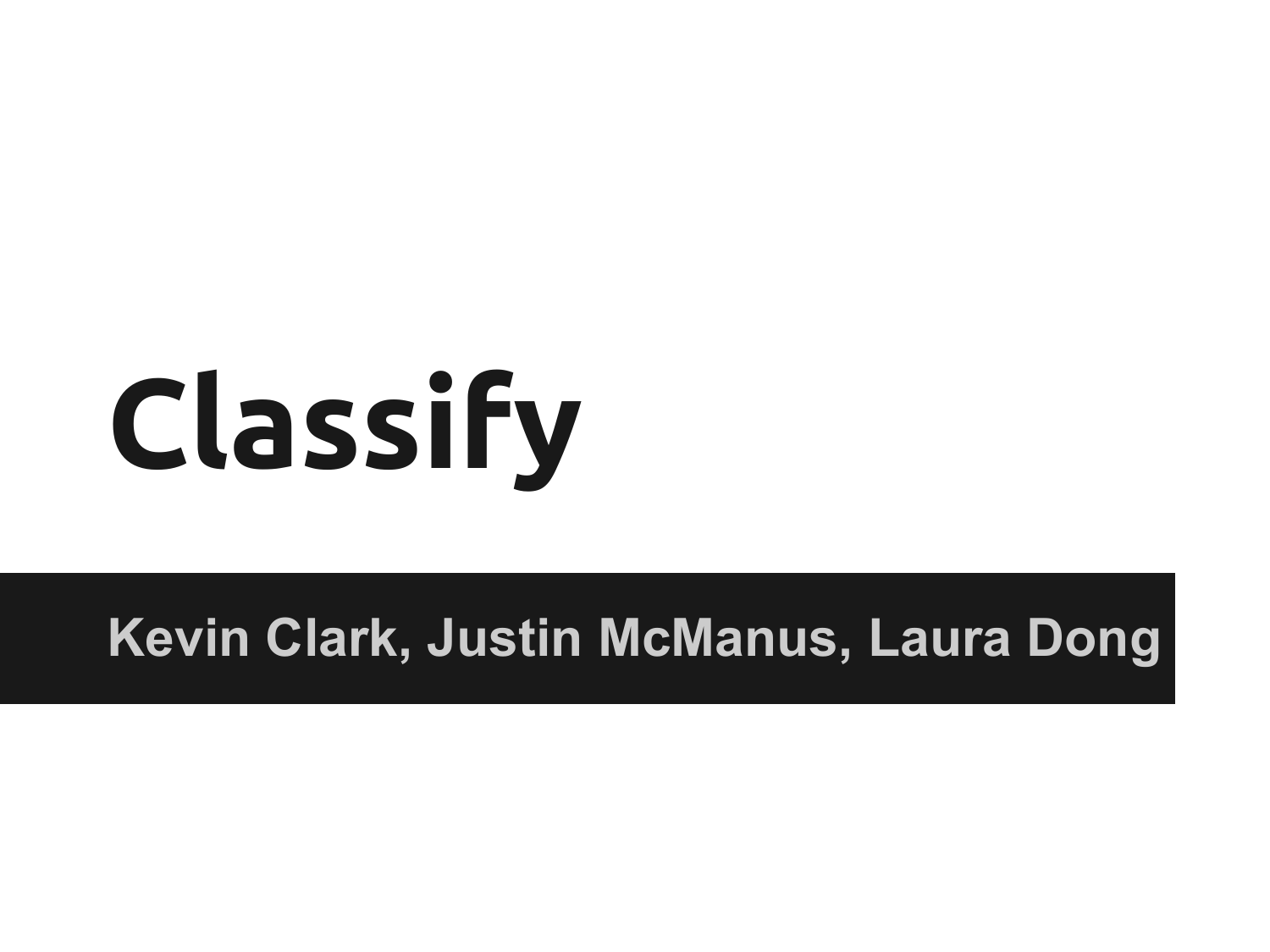# **Classify**

### **Kevin Clark, Justin McManus, Laura Dong**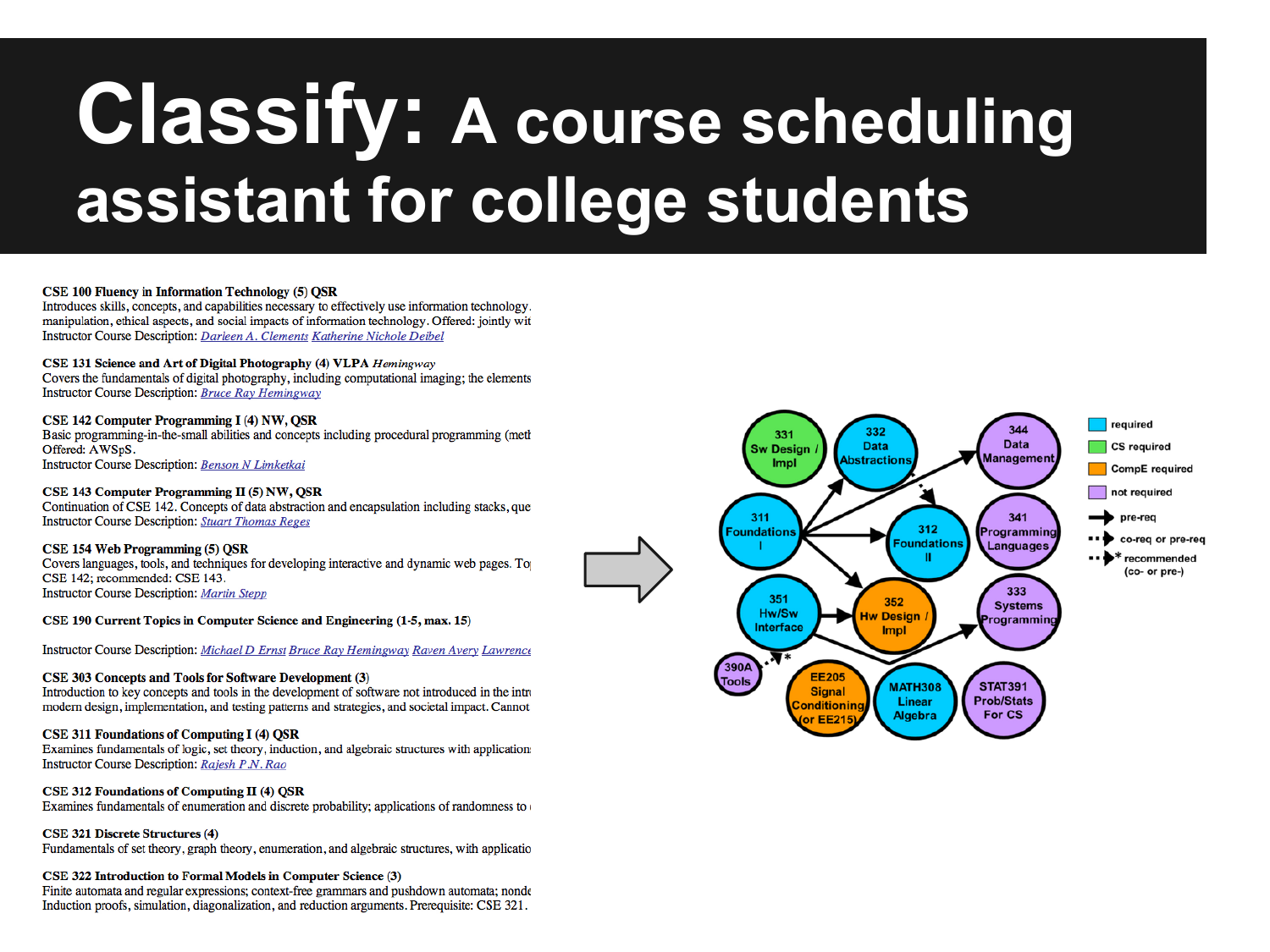### **Classify: A course scheduling** assistant for college students

### **CSE 100 Fluency in Information Technology (5) OSR**

Introduces skills, concepts, and capabilities necessary to effectively use information technology. manipulation, ethical aspects, and social impacts of information technology. Offered: jointly wit Instructor Course Description: Darleen A. Clements Katherine Nichole Deibel

### CSE 131 Science and Art of Digital Photography (4) VLPA Hemingway

Covers the fundamentals of digital photography, including computational imaging; the elements **Instructor Course Description: Bruce Ray Hemingway** 

### CSE 142 Computer Programming I (4) NW, QSR

Basic programming-in-the-small abilities and concepts including procedural programming (meth Offered: AWSpS. **Instructor Course Description: Benson N Limketkai** 

### CSE 143 Computer Programming II (5) NW, OSR

Continuation of CSE 142. Concepts of data abstraction and encapsulation including stacks, que **Instructor Course Description: Stuart Thomas Reges** 

### CSE 154 Web Programming (5) OSR

Covers languages, tools, and techniques for developing interactive and dynamic web pages. To CSE 142; recommended: CSE 143. **Instructor Course Description: Martin Stepp** 

CSE 190 Current Topics in Computer Science and Engineering (1-5, max. 15)

Instructor Course Description: Michael D Ernst Bruce Ray Hemingway Raven Avery Lawrence

### CSE 303 Concepts and Tools for Software Development (3)

Introduction to key concepts and tools in the development of software not introduced in the intro modern design, implementation, and testing patterns and strategies, and societal impact. Cannot

### **CSE 311 Foundations of Computing I (4) OSR**

Examines fundamentals of logic, set theory, induction, and algebraic structures with application. Instructor Course Description: Rajesh P.N. Rao

### CSE 312 Foundations of Computing II (4) OSR

Examines fundamentals of enumeration and discrete probability; applications of randomness to

### CSE 321 Discrete Structures (4)

Fundamentals of set theory, graph theory, enumeration, and algebraic structures, with applicatio

### CSE 322 Introduction to Formal Models in Computer Science (3)

Finite automata and regular expressions; context-free grammars and pushdown automata; nonde Induction proofs, simulation, diagonalization, and reduction arguments. Prerequisite: CSE 321.

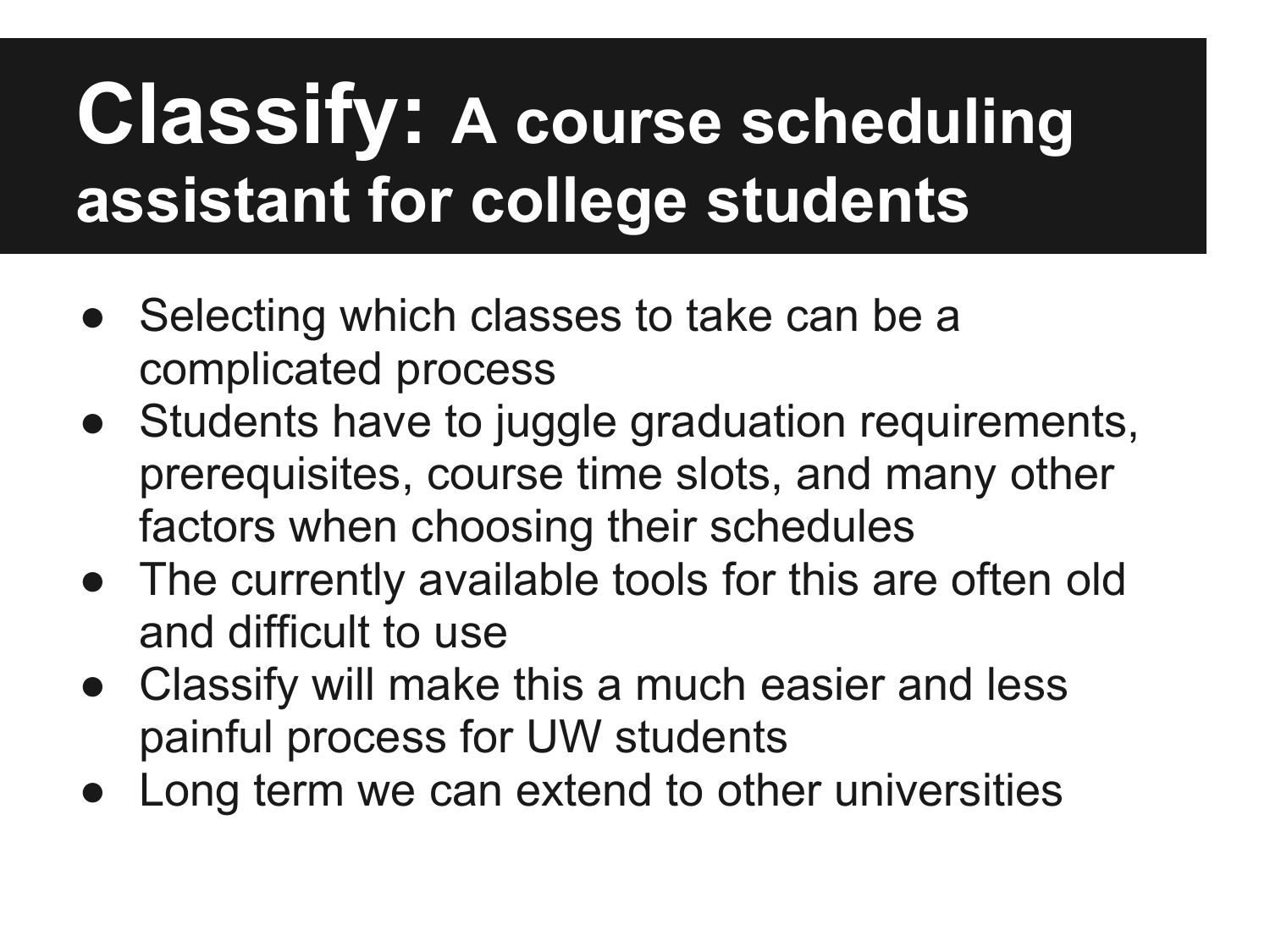### **Classify: A course scheduling assistant for college students**

- Selecting which classes to take can be a complicated process
- Students have to juggle graduation requirements, prerequisites, course time slots, and many other factors when choosing their schedules
- The currently available tools for this are often old and difficult to use
- Classify will make this a much easier and less painful process for UW students
- Long term we can extend to other universities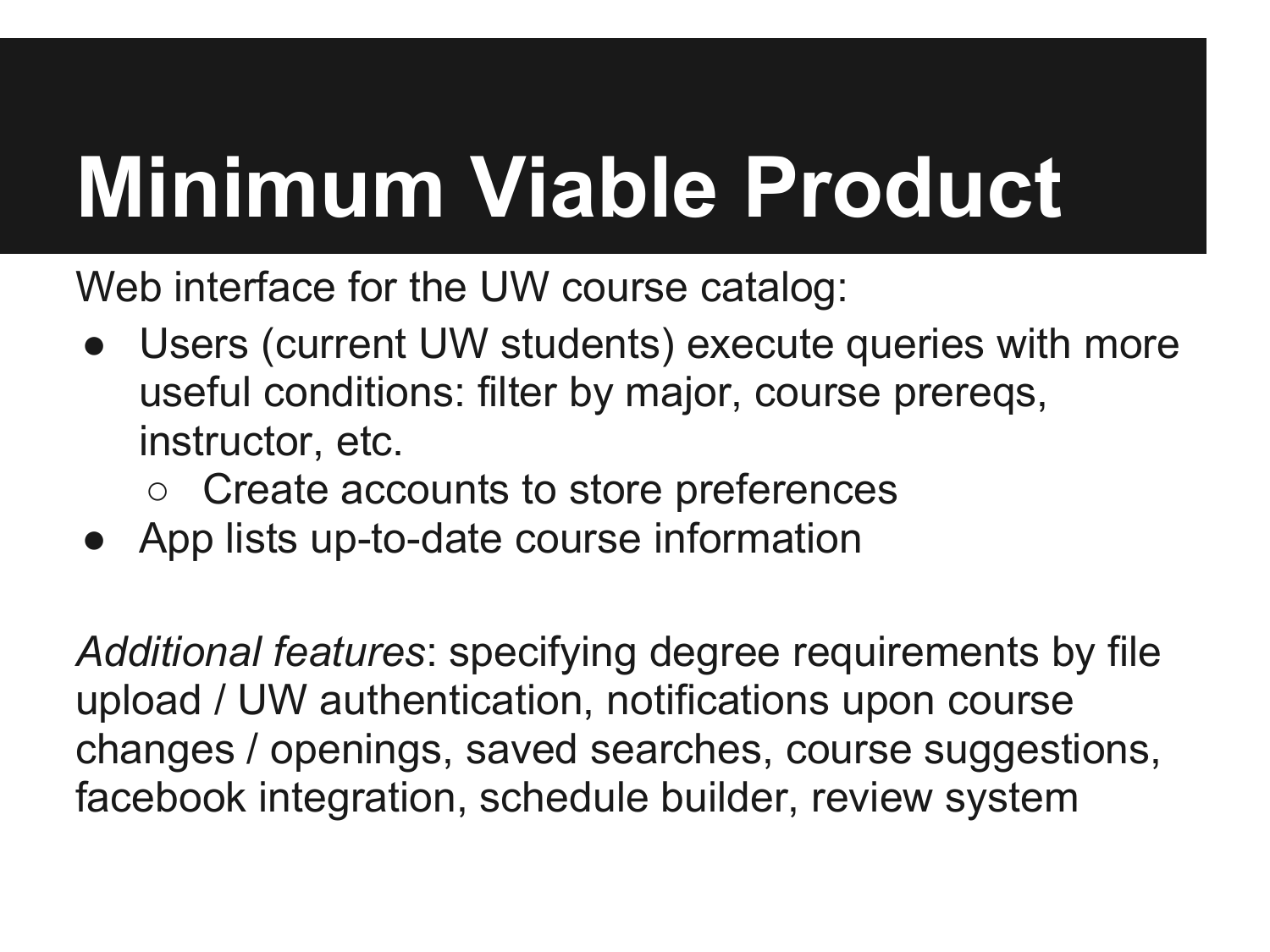## **Minimum Viable Product**

Web interface for the UW course catalog:

- Users (current UW students) execute queries with more useful conditions: filter by major, course prereqs, instructor, etc.
	- Create accounts to store preferences
- App lists up-to-date course information

*Additional features*: specifying degree requirements by file upload / UW authentication, notifications upon course changes / openings, saved searches, course suggestions, facebook integration, schedule builder, review system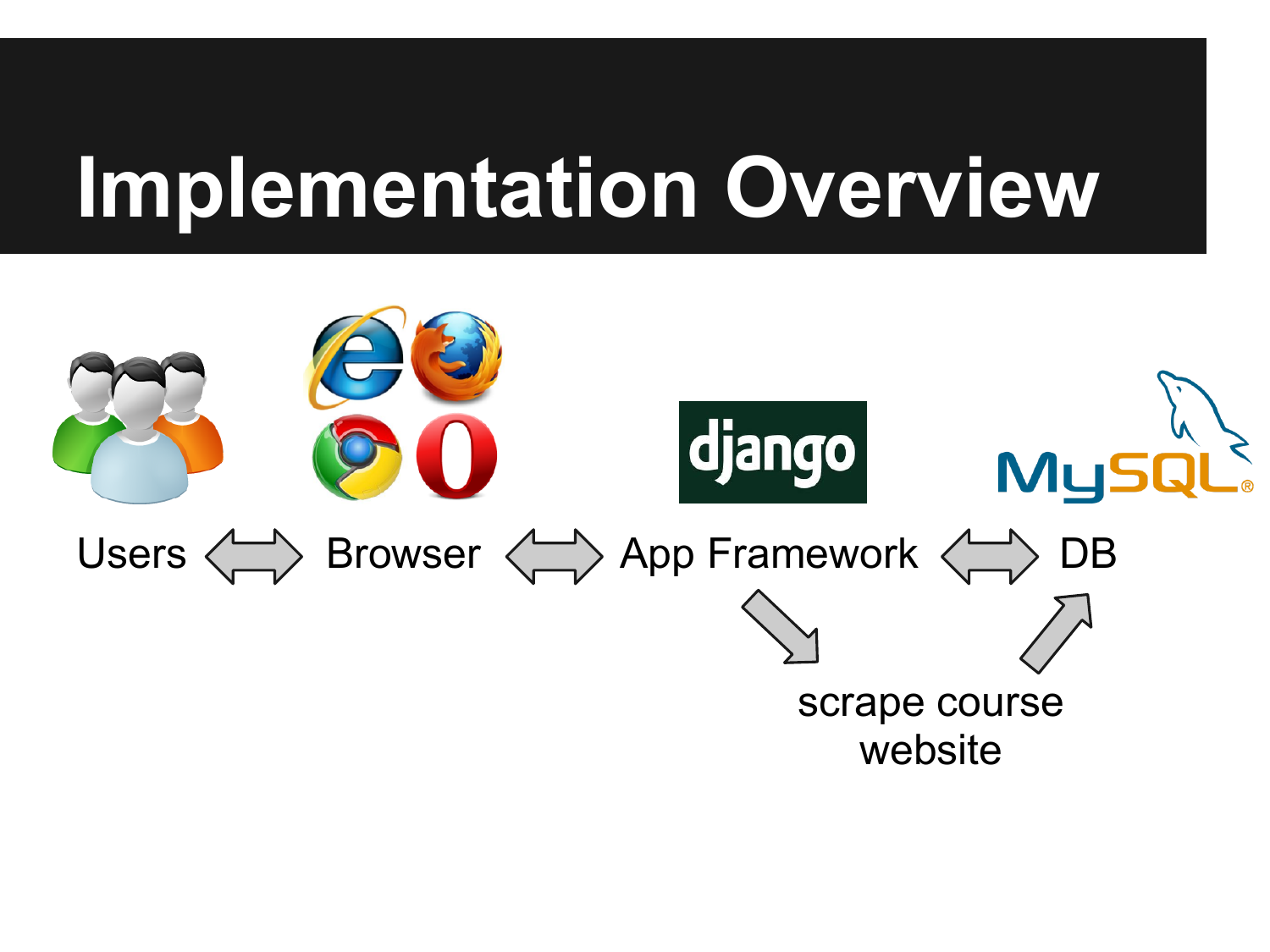### **Implementation Overview**